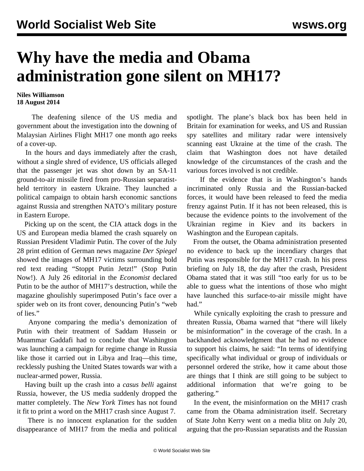## **Why have the media and Obama administration gone silent on MH17?**

**Niles Williamson 18 August 2014**

 The deafening silence of the US media and government about the investigation into the downing of Malaysian Airlines Flight MH17 one month ago reeks of a cover-up.

 In the hours and days immediately after the crash, without a single shred of evidence, US officials alleged that the passenger jet was shot down by an SA-11 ground-to-air missile fired from pro-Russian separatistheld territory in eastern Ukraine. They launched a political campaign to obtain harsh economic sanctions against Russia and strengthen NATO's military posture in Eastern Europe.

 Picking up on the scent, the CIA attack dogs in the US and European media blamed the crash squarely on Russian President Vladimir Putin. The cover of the July 28 print edition of German news magazine *Der Spiegel* showed the images of MH17 victims surrounding bold red text reading "Stoppt Putin Jetzt!" (Stop Putin Now!). A July 26 editorial in the *Economist* declared Putin to be the author of MH17's destruction, while the magazine ghoulishly superimposed Putin's face over a spider web on its front cover, denouncing Putin's "web of lies."

 Anyone comparing the media's demonization of Putin with their treatment of Saddam Hussein or Muammar Gaddafi had to conclude that Washington was launching a campaign for regime change in Russia like those it carried out in Libya and Iraq—this time, recklessly pushing the United States towards war with a nuclear-armed power, Russia.

 Having built up the crash into a *casus belli* against Russia, however, the US media suddenly dropped the matter completely. The *New York Times* has not found it fit to print a word on the MH17 crash since August 7.

 There is no innocent explanation for the sudden disappearance of MH17 from the media and political spotlight. The plane's black box has been held in Britain for examination for weeks, and US and Russian spy satellites and military radar were intensively scanning east Ukraine at the time of the crash. The claim that Washington does not have detailed knowledge of the circumstances of the crash and the various forces involved is not credible.

 If the evidence that is in Washington's hands incriminated only Russia and the Russian-backed forces, it would have been released to feed the media frenzy against Putin. If it has not been released, this is because the evidence points to the involvement of the Ukrainian regime in Kiev and its backers in Washington and the European capitals.

 From the outset, the Obama administration presented no evidence to back up the incendiary charges that Putin was responsible for the MH17 crash. In his press briefing on July 18, the day after the crash, President Obama stated that it was still "too early for us to be able to guess what the intentions of those who might have launched this surface-to-air missile might have had."

 While cynically exploiting the crash to pressure and threaten Russia, Obama warned that "there will likely be misinformation" in the coverage of the crash. In a backhanded acknowledgment that he had no evidence to support his claims, he said: "In terms of identifying specifically what individual or group of individuals or personnel ordered the strike, how it came about those are things that I think are still going to be subject to additional information that we're going to be gathering."

 In the event, the misinformation on the MH17 crash came from the Obama administration itself. Secretary of State John Kerry went on a media blitz on July 20, arguing that the pro-Russian separatists and the Russian